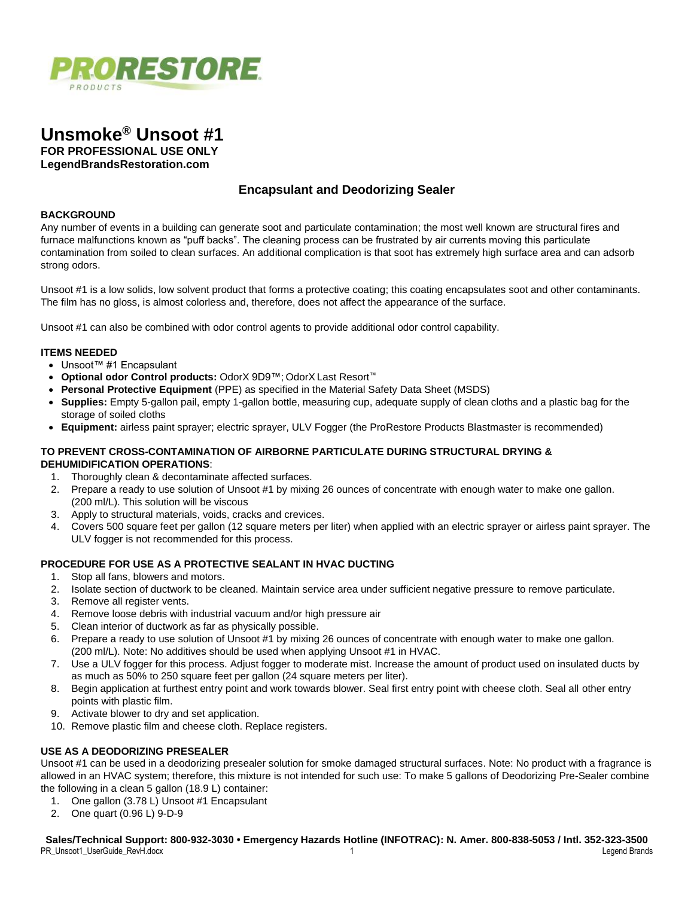



# **Encapsulant and Deodorizing Sealer**

#### **BACKGROUND**

Any number of events in a building can generate soot and particulate contamination; the most well known are structural fires and furnace malfunctions known as "puff backs". The cleaning process can be frustrated by air currents moving this particulate contamination from soiled to clean surfaces. An additional complication is that soot has extremely high surface area and can adsorb strong odors.

Unsoot #1 is a low solids, low solvent product that forms a protective coating; this coating encapsulates soot and other contaminants. The film has no gloss, is almost colorless and, therefore, does not affect the appearance of the surface.

Unsoot #1 can also be combined with odor control agents to provide additional odor control capability.

#### **ITEMS NEEDED**

- Unsoot™ #1 Encapsulant
- **Optional odor Control products:** OdorX 9D9™; OdorX Last Resort™
- **Personal Protective Equipment** (PPE) as specified in the Material Safety Data Sheet (MSDS)
- **Supplies:** Empty 5-gallon pail, empty 1-gallon bottle, measuring cup, adequate supply of clean cloths and a plastic bag for the storage of soiled cloths
- **Equipment:** airless paint sprayer; electric sprayer, ULV Fogger (the ProRestore Products Blastmaster is recommended)

# **TO PREVENT CROSS-CONTAMINATION OF AIRBORNE PARTICULATE DURING STRUCTURAL DRYING & DEHUMIDIFICATION OPERATIONS**:

- 1. Thoroughly clean & decontaminate affected surfaces.
- 2. Prepare a ready to use solution of Unsoot #1 by mixing 26 ounces of concentrate with enough water to make one gallon. (200 ml/L). This solution will be viscous
- 3. Apply to structural materials, voids, cracks and crevices.
- 4. Covers 500 square feet per gallon (12 square meters per liter) when applied with an electric sprayer or airless paint sprayer. The ULV fogger is not recommended for this process.

# **PROCEDURE FOR USE AS A PROTECTIVE SEALANT IN HVAC DUCTING**

- 1. Stop all fans, blowers and motors.
- 2. Isolate section of ductwork to be cleaned. Maintain service area under sufficient negative pressure to remove particulate.
- 3. Remove all register vents.
- 4. Remove loose debris with industrial vacuum and/or high pressure air
- 5. Clean interior of ductwork as far as physically possible.
- 6. Prepare a ready to use solution of Unsoot #1 by mixing 26 ounces of concentrate with enough water to make one gallon. (200 ml/L). Note: No additives should be used when applying Unsoot #1 in HVAC.
- 7. Use a ULV fogger for this process. Adjust fogger to moderate mist. Increase the amount of product used on insulated ducts by as much as 50% to 250 square feet per gallon (24 square meters per liter).
- 8. Begin application at furthest entry point and work towards blower. Seal first entry point with cheese cloth. Seal all other entry points with plastic film.
- 9. Activate blower to dry and set application.
- 10. Remove plastic film and cheese cloth. Replace registers.

# **USE AS A DEODORIZING PRESEALER**

Unsoot #1 can be used in a deodorizing presealer solution for smoke damaged structural surfaces. Note: No product with a fragrance is allowed in an HVAC system; therefore, this mixture is not intended for such use: To make 5 gallons of Deodorizing Pre-Sealer combine the following in a clean 5 gallon (18.9 L) container:

- 1. One gallon (3.78 L) Unsoot #1 Encapsulant
- 2. One quart (0.96 L) 9-D-9

**Sales/Technical Support: 800-932-3030 • Emergency Hazards Hotline (INFOTRAC): N. Amer. 800-838-5053 / Intl. 352-323-3500** PR\_Unsoot1\_UserGuide\_RevH.docx 1 Legend Brands